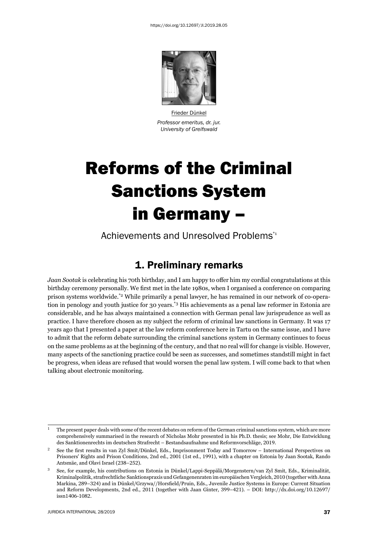

Frieder Dünkel *Professor emeritus, dr. jur. University of Greifswald* 

# Reforms of the Criminal Sanctions System in Germany –

Achievements and Unresolved Problems\*1

# 1. Preliminary remarks

*Jaan Sootak* is celebrating his 70th birthday, and I am happy to offer him my cordial congratulations at this birthday ceremony personally. We first met in the late 1980s, when I organised a conference on comparing prison systems worldwide.\*2 While primarily a penal lawyer, he has remained in our network of co-operation in penology and youth justice for 30 years.<sup>\*3</sup> His achievements as a penal law reformer in Estonia are considerable, and he has always maintained a connection with German penal law jurisprudence as well as practice. I have therefore chosen as my subject the reform of criminal law sanctions in Germany. It was 17 years ago that I presented a paper at the law reform conference here in Tartu on the same issue, and I have to admit that the reform debate surrounding the criminal sanctions system in Germany continues to focus on the same problems as at the beginning of the century, and that no real will for change is visible. However, many aspects of the sanctioning practice could be seen as successes, and sometimes standstill might in fact be progress, when ideas are refused that would worsen the penal law system. I will come back to that when talking about electronic monitoring.

 $1$  The present paper deals with some of the recent debates on reform of the German criminal sanctions system, which are more comprehensively summarised in the research of Nicholas Mohr presented in his Ph.D. thesis; see Mohr, Die Entwicklung des Sanktionenrechts im deutschen Strafrecht – Bestandsaufnahme und Reformvorschläge, 2019.

<sup>&</sup>lt;sup>2</sup> See the first results in van Zyl Smit/Dünkel, Eds., Imprisonment Today and Tomorrow – International Perspectives on Prisoners' Rights and Prison Conditions, 2nd ed., 2001 (1st ed., 1991), with a chapter on Estonia by Jaan Sootak, Rando Antsmäe, and Olavi Israel (238–252).

<sup>ɴ</sup> See, for example, his contributions on Estonia in Dünkel/Lappi-Seppälä/Morgenstern/van Zyl Smit, Eds., Kriminalität, Kriminalpolitik, strafrechtliche Sanktionspraxis und Gefangenenraten im europäischen Vergleich, 2010 (together with Anna Markina, 289-324) and in Dünkel/Grzywa//Horsfield/Pruin, Eds., Juvenile Justice Systems in Europe: Current Situation and Reform Developments, 2nd ed., 2011 (together with Jaan Ginter, 399-421). – DOI: http://dx.doi.org/10.12697/ issn1406-1082.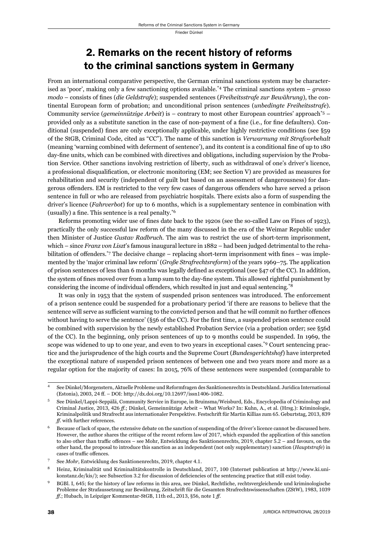# 2. Remarks on the recent history of reforms to the criminal sanctions system in Germany

From an international comparative perspective, the German criminal sanctions system may be characterised as 'poor', making only a few sanctioning options available.\*4 The criminal sanctions system – *grosso modo* – consists of fines (*die Geldstrafe*); suspended sentences (*Freiheitsstrafe zur Bewährung*), the continental European form of probation; and unconditional prison sentences (*unbedingte Freiheitsstrafe*). Community service (*gemeinnützige Arbeit*) is – contrary to most other European countries' approach\*5 – provided only as a substitute sanction in the case of non-payment of a fine (i.e., for fine defaulters). Conditional (suspended) fines are only exceptionally applicable, under highly restrictive conditions (see §59 of the StGB, Criminal Code, cited as "CC"). The name of this sanction is *Verwarnung mit Strafvorbehalt* (meaning 'warning combined with deferment of sentence'), and its content is a conditional fine of up to 180 day-fine units, which can be combined with directives and obligations, including supervision by the Probation Service. Other sanctions involving restriction of liberty, such as withdrawal of one's driver's licence, a professional disqualification, or electronic monitoring (EM; see Section V) are provided as measures for rehabilitation and security (independent of guilt but based on an assessment of dangerousness) for dangerous offenders. EM is restricted to the very few cases of dangerous offenders who have served a prison sentence in full or who are released from psychiatric hospitals. There exists also a form of suspending the driver's licence (*Fahrverbot*) for up to 6 months, which is a supplementary sentence in combination with (usually) a fine. This sentence is a real penalty. $*6$ 

Reforms promoting wider use of fines date back to the 1920s (see the so-called Law on Fines of 1923), practically the only successful law reform of the many discussed in the era of the Weimar Republic under then Minister of Justice *Gustav Radbruch*. The aim was to restrict the use of short-term imprisonment, which – since *Franz von Liszt*'s famous inaugural lecture in 1882 – had been judged detrimental to the rehabilitation of offenders.<sup>\*7</sup> The decisive change – replacing short-term imprisonment with fines – was implemented by the 'major criminal law reform' (*Große Strafrechtsreform*) of the years 1969–75. The application of prison sentences of less than 6 months was legally defined as exceptional (see  $\S$ 47 of the CC). In addition, the system of fines moved over from a lump sum to the day-fine system. This allowed rightful punishment by considering the income of individual offenders, which resulted in just and equal sentencing.<sup>\*8</sup>

It was only in 1953 that the system of suspended prison sentences was introduced. The enforcement of a prison sentence could be suspended for a probationary period 'if there are reasons to believe that the sentence will serve as sufficient warning to the convicted person and that he will commit no further offences without having to serve the sentence' ( $\S$ 56 of the CC). For the first time, a suspended prison sentence could be combined with supervision by the newly established Probation Service (via a probation order; see §56d of the CC). In the beginning, only prison sentences of up to 9 months could be suspended. In 1969, the scope was widened to up to one year, and even to two years in exceptional cases.<sup>\*9</sup> Court sentencing practice and the jurisprudence of the high courts and the Supreme Court (*Bundesgerichtshof*) have interpreted the exceptional nature of suspended prison sentences of between one and two years more and more as a regular option for the majority of cases: In 2015, 76% of these sentences were suspended (comparable to

<sup>ɵ</sup> See Dünkel/Morgenstern, Aktuelle Probleme und Reformfragen des Sanktionenrechts in Deutschland. Juridica International (Estonia), 2003, 24 ff. – DOI: http://dx.doi.org/10.12697/issn1406-1082.

See Dünkel/Lappi-Seppälä, Community Service in Europe, in Bruinsma/Weisburd, Eds., Encyclopedia of Criminology and Criminal Justice, 2013, 426 ff.; Dünkel, Gemeinnützige Arbeit – What Works? In: Kuhn, A., et al. (Hrsg.): Kriminologie, Kriminalpolitik und Strafrecht aus internationaler Perspektive. Festschrift für Martin Killias zum 65. Geburtstag, 2013, 839 *ff*. with further references.

Because of lack of space, the extensive debate on the sanction of suspending of the driver's licence cannot be discussed here. However, the author shares the critique of the recent reform law of 2017, which expanded the application of this sanction to also other than traffic offences – see Mohr, Entwicklung des Sanktionenrechts, 2019, chapter 5.2 – and favours, on the other hand, the proposal to introduce this sanction as an independent (not only supplementary) sanction (*Hauptstrafe*) in cases of traffic offences.

See *Mohr*, Entwicklung des Sanktionenrechts, 2019, chapter 4.1.

Heinz, Kriminalität und Kriminalitätskontrolle in Deutschland, 2017, 100 (Internet publication at http://www.ki.unikonstanz.de/kis/); see Subsection 3.2 for discussion of deficiencies of the sentencing practice that still exist today.

BGBl. I, 645; for the history of law reforms in this area, see Dünkel, Rechtliche, rechtsvergleichende und kriminologische Probleme der Strafaussetzung zur Bewährung, Zeitschrift für die Gesamten Strafrechtswissenschaften (ZStW), 1983, 1039 *ff*.; Hubach, in Leipziger Kommentar-StGB, 11th ed., 2013, §56, note 1 ff.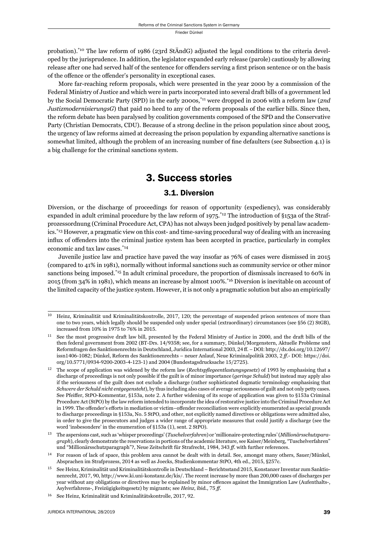probation).<sup>\*10</sup> The law reform of 1986 (23rd StÄndG) adjusted the legal conditions to the criteria developed by the jurisprudence. In addition, the legislator expanded early release (parole) cautiously by allowing release after one had served half of the sentence for offenders serving a first prison sentence or on the basis of the offence or the offender's personality in exceptional cases.

More far-reaching reform proposals, which were presented in the year 2000 by a commission of the Federal Ministry of Justice and which were in parts incorporated into several draft bills of a government led by the Social Democratic Party (SPD) in the early 2000s,\*11 were dropped in 2006 with a reform law (*2nd JustizmodernisierungsG*) that paid no heed to any of the reform proposals of the earlier bills. Since then, the reform debate has been paralysed by coalition governments composed of the SPD and the Conservative Party (Christian Democrats, CDU). Because of a strong decline in the prison population since about 2005, the urgency of law reforms aimed at decreasing the prison population by expanding alternative sanctions is somewhat limited, although the problem of an increasing number of fine defaulters (see Subsection 4.1) is a big challenge for the criminal sanctions system.

## 3. Success stories

### 3.1. Diversion

Diversion, or the discharge of proceedings for reason of opportunity (expediency), was considerably expanded in adult criminal procedure by the law reform of  $1975$ .<sup>\*12</sup> The introduction of §153a of the Strafprozessordnung (Criminal Procedure Act, CPA) has not always been judged positively by penal law academics.\*13 However, a pragmatic view on this cost- and time-saving procedural way of dealing with an increasing influx of offenders into the criminal justice system has been accepted in practice, particularly in complex economic and tax law cases.\*14

Juvenile justice law and practice have paved the way insofar as 76% of cases were dismissed in 2015 (compared to 41% in 1981), normally without informal sanctions such as community service or other minor sanctions being imposed.\*15 In adult criminal procedure, the proportion of dismissals increased to 60% in 2015 (from 34% in 1981), which means an increase by almost 100%.\*16 Diversion is inevitable on account of the limited capacity of the justice system. However, it is not only a pragmatic solution but also an empirically

Heinz, Kriminalität und Kriminalitätskontrolle, 2017, 120; the percentage of suspended prison sentences of more than one to two years, which legally should be suspended only under special (extraordinary) circumstances (see §56 (2) StGB), increased from 10% in 1975 to 76% in 2015.

<sup>&</sup>lt;sup>11</sup> See the most progressive draft law bill, presented by the Federal Ministry of Justice in 2000, and the draft bills of the then federal government from 2002 (BT-Drs. 14/9358; see, for a summary, Dünkel/Morgenstern, Aktuelle Probleme und Reformfragen des Sanktionenrechts in Deutschland, Juridica International 2003, 24 ff. – DOI: http://dx.doi.org/10.12697/ issn1406-1082; Dünkel, Reform des Sanktionenrechts – neuer Anlauf, Neue Kriminalpolitik 2003, 2 ff.- DOI: https://doi. org/10.5771/0934-9200-2003-4-123-1) and 2004 (Bundestagsdrucksache 15/2725).

The scope of application was widened by the reform law (*Rechtspflegeentlastungsgesetz*) of 1993 by emphasising that a discharge of proceedings is not only possible if the guilt is of minor importance (*geringe Schuld*) but instead may apply also if the seriousness of the guilt does not exclude a discharge (rather sophisticated dogmatic terminology emphasising that *Schwere der Schuld nicht entgegensteht*), by thus including also cases of average seriousness of guilt and not only petty cases. See Pfeiffer, StPO-Kommentar, §153a, note 2. A further widening of its scope of application was given to §153a Criminal Procedure Act (StPO) by the law reform intended to incorporate the idea of restorative justice into the Criminal Procedure Act in 1999. The offender's efforts in mediation or victim–offender reconciliation were explicitly enumerated as special grounds to discharge proceedings in §153a, No. 5 StPO, and other, not explicitly named directives or obligations were admitted also, in order to give the prosecutors and judges a wider range of appropriate measures that could justify a discharge (see the word 'insbesondere' in the enumeration of §153a (1), sent. 2 StPO).

ɲɴ The aspersions cast, such as 'whisper proceedings' (*Tuschelverfahren*) or 'millionaire-protecting rules' (*Millionärsschutzparagraph*), clearly demonstrate the reservations in portions of the academic literature, see Kaiser/Meinberg, "Tuschelverfahren" und "Millionärsschutzparagraph"?, Neue Zeitschrift für Strafrecht, 1984, 343 ff. with further references.

<sup>&</sup>lt;sup>14</sup> For reason of lack of space, this problem area cannot be dealt with in detail. See, amongst many others, Sauer/Münkel, Absprachen im Strafprozess, 2014 as well as Joecks, Studienkommentar StPO, 4th ed., 2015, §257c.

<sup>&</sup>lt;sup>15</sup> See Heinz, Kriminalität und Kriminalitätskontrolle in Deutschland – Berichtsstand 2015, Konstanzer Inventar zum Sanktionenrecht, 2017, 90, http://www.ki.uni-konstanz.de/kis/. The recent increase by more than 200,000 cases of discharges per year without any obligations or directives may be explained by minor offences against the Immigration Law (Aufenthalts-, Asylverfahrens-, Freizügigkeitsgesetz) by migrants; see *Heinz*, ibid., 75 ff.

<sup>&</sup>lt;sup>16</sup> See Heinz, Kriminalität und Kriminalitätskontrolle, 2017, 92.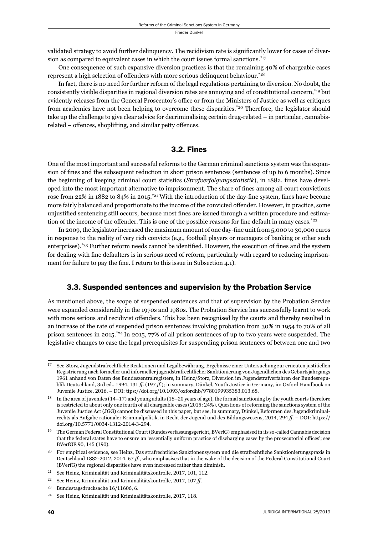validated strategy to avoid further delinquency. The recidivism rate is significantly lower for cases of diversion as compared to equivalent cases in which the court issues formal sanctions.<sup>\*17</sup>

One consequence of such expansive diversion practices is that the remaining 40% of chargeable cases represent a high selection of offenders with more serious delinquent behaviour.<sup>\*18</sup>

In fact, there is no need for further reform of the legal regulations pertaining to diversion. No doubt, the consistently visible disparities in regional diversion rates are annoying and of constitutional concern,\*19 but evidently releases from the General Prosecutor's office or from the Ministers of Justice as well as critiques from academics have not been helping to overcome these disparities.<sup>\*20</sup> Therefore, the legislator should take up the challenge to give clear advice for decriminalising certain drug-related – in particular, cannabisrelated – offences, shoplifting, and similar petty offences.

## 3.2. Fines

One of the most important and successful reforms to the German criminal sanctions system was the expansion of fines and the subsequent reduction in short prison sentences (sentences of up to 6 months). Since the beginning of keeping criminal court statistics (*Strafverfolgungsstatistik*), in 1882, fines have developed into the most important alternative to imprisonment. The share of fines among all court convictions rose from 22% in 1882 to 84% in 2015.<sup>\*21</sup> With the introduction of the day-fine system, fines have become more fairly balanced and proportionate to the income of the convicted offender. However, in practice, some unjustified sentencing still occurs, because most fines are issued through a written procedure and estimation of the income of the offender. This is one of the possible reasons for fine default in many cases.<sup>\*22</sup>

In 2009, the legislator increased the maximum amount of one day-fine unit from 5,000 to 30,000 euros in response to the reality of very rich convicts (e.g., football players or managers of banking or other such enterprises).<sup>\*23</sup> Further reform needs cannot be identified. However, the execution of fines and the system for dealing with fine defaulters is in serious need of reform, particularly with regard to reducing imprisonment for failure to pay the fine. I return to this issue in Subsection 4.1).

## 3.3. Suspended sentences and supervision by the Probation Service

As mentioned above, the scope of suspended sentences and that of supervision by the Probation Service were expanded considerably in the 1970s and 1980s. The Probation Service has successfully learnt to work with more serious and recidivist offenders. This has been recognised by the courts and thereby resulted in an increase of the rate of suspended prison sentences involving probation from 30% in 1954 to 70% of all prison sentences in 2015.\*24 In 2015, 77% of all prison sentences of up to two years were suspended. The legislative changes to ease the legal prerequisites for suspending prison sentences of between one and two

<sup>&</sup>lt;sup>17</sup> See Storz, Jugendstrafrechtliche Reaktionen und Legalbewährung. Ergebnisse einer Untersuchung zur erneuten justitiellen Registrierung nach formeller und informeller jugendstrafrechtlicher Sanktionierung von Jugendlichen des Geburtsjahrgangs 1961 anhand von Daten des Bundeszentralregisters, in Heinz/Storz, Diversion im Jugendstrafverfahren der Bundesrepublik Deutschland, 3rd ed., 1994, 131 *ff.* (197 *ff.*); in summary, Dünkel, Youth Justice in Germany, in: Oxford Handbook on Juvenile Justice, 2016. – DOI: ttps://doi.org/10.1093/oxfordhb/9780199935383.013.68.

<sup>&</sup>lt;sup>18</sup> In the area of juveniles (14–17) and young adults (18–20 years of age), the formal sanctioning by the youth courts therefore is restricted to about only one fourth of all chargeable cases (2015: 24%). Questions of reforming the sanctions system of the Juvenile Justice Act (JGG) cannot be discussed in this paper, but see, in summary, Dünkel, Reformen des Jugendkriminalrechts als Aufgabe rationaler Kriminalpolitik, in Recht der Jugend und des Bildungswesens, 2014, 294 ff. – DOI: https:// doi.org/10.5771/0034-1312-2014-3-294.

<sup>&</sup>lt;sup>19</sup> The German Federal Constitutional Court (Bundesverfassungsgericht, BVerfG) emphasised in its so-called Cannabis decision that the federal states have to ensure an 'essentially uniform practice of discharging cases by the prosecutorial offices'; see BVerfGE 90, 145 (190).

 $^{20}$  For empirical evidence, see Heinz, Das strafrechtliche Sanktionensystem und die strafrechtliche Sanktionierungspraxis in Deutschland 1882-2012, 2014, 67 ff., who emphasises that in the wake of the decision of the Federal Constitutional Court (BVerfG) the regional disparities have even increased rather than diminish.

 $^{21}$  See Heinz, Kriminalität und Kriminalitätskontrolle, 2017, 101, 112.

<sup>&</sup>lt;sup>22</sup> See Heinz, Kriminalität und Kriminalitätskontrolle, 2017, 107 ff.

<sup>&</sup>lt;sup>23</sup> Bundestagsdrucksache 16/11606, 6.

<sup>&</sup>lt;sup>24</sup> See Heinz, Kriminalität und Kriminalitätskontrolle, 2017, 118.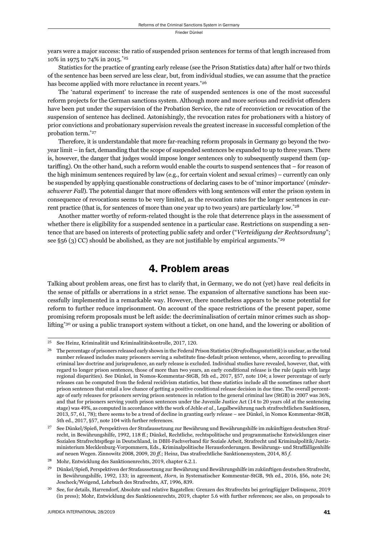years were a major success: the ratio of suspended prison sentences for terms of that length increased from 10% in 1975 to 74% in 2015.\*25

Statistics for the practice of granting early release (see the Prison Statistics data) after half or two thirds of the sentence has been served are less clear, but, from individual studies, we can assume that the practice has become applied with more reluctance in recent years.<sup>\*26</sup>

The 'natural experiment' to increase the rate of suspended sentences is one of the most successful reform projects for the German sanctions system. Although more and more serious and recidivist offenders have been put under the supervision of the Probation Service, the rate of reconviction or revocation of the suspension of sentence has declined. Astonishingly, the revocation rates for probationers with a history of prior convictions and probationary supervision reveals the greatest increase in successful completion of the probation term.\*27

Therefore, it is understandable that more far-reaching reform proposals in Germany go beyond the twoyear limit – in fact, demanding that the scope of suspended sentences be expanded to up to three years. There is, however, the danger that judges would impose longer sentences only to subsequently suspend them (uptariffing). On the other hand, such a reform would enable the courts to suspend sentences that – for reason of the high minimum sentences required by law (e.g., for certain violent and sexual crimes) – currently can only be suspended by applying questionable constructions of declaring cases to be of 'minor importance' (*minderschwerer Fall*). The potential danger that more offenders with long sentences will enter the prison system in consequence of revocations seems to be very limited, as the revocation rates for the longer sentences in current practice (that is, for sentences of more than one year up to two years) are particularly low.\*28

Another matter worthy of reform-related thought is the role that deterrence plays in the assessment of whether there is eligibility for a suspended sentence in a particular case. Restrictions on suspending a sentence that are based on interests of protecting public safety and order ("*Verteidigung der Rechtsordnung*"; see §56 (3) CC) should be abolished, as they are not justifiable by empirical arguments.<sup>\*29</sup>

## 4. Problem areas

Talking about problem areas, one first has to clarify that, in Germany, we do not (yet) have real deficits in the sense of pitfalls or aberrations in a strict sense. The expansion of alternative sanctions has been successfully implemented in a remarkable way. However, there nonetheless appears to be some potential for reform to further reduce imprisonment. On account of the space restrictions of the present paper, some promising reform proposals must be left aside: the decriminalisation of certain minor crimes such as shoplifting\*30 or using a public transport system without a ticket, on one hand, and the lowering or abolition of

 $^{25}$  See Heinz, Kriminalität und Kriminalitätskontrolle, 2017, 120.

ɳɷ The percentage of prisoners released early shown in the Federal Prison Statistics (*Strafvollzugsstatistik*) is unclear, as the total number released includes many prisoners serving a substitute fine-default prison sentence, where, according to prevailing criminal law doctrine and jurisprudence, an early release is excluded. Individual studies have revealed, however, that, with regard to longer prison sentences, those of more than two years, an early conditional release is the rule (again with large regional disparities). See Dünkel, in Nomos-Kommentar-StGB, 5th ed., 2017, §57, note 104; a lower percentage of early releases can be computed from the federal recidivism statistics, but these statistics include all the sometimes rather short prison sentences that entail a low chance of getting a positive conditional release decision in due time. The overall percentage of early releases for prisoners serving prison sentences in relation to the general criminal law (StGB) in 2007 was 36%, and that for prisoners serving youth prison sentences under the Juvenile Justice Act (14 to 20 years old at the sentencing stage) was ɵɺ%, as computed in accordance with the work of Jehle *et al.*, Legalbewährung nach strafrechtlichen Sanktionen, 2013, 57, 61, 78); there seems to be a trend of decline in granting early release – see Dünkel, in Nomos Kommentar-StGB, 5th ed., 2017, §57, note 104 with further references.

ɳɸ See Dünkel/Spieß, Perspektiven der Strafaussetzung zur Bewährung und Bewährungshilfe im zukünftigen deutschen Strafrecht, in Bewährungshilfe, 1992, 118 ff.; Dünkel, Rechtliche, rechtspolitische und programmatische Entwicklungen einer Sozialen Strafrechtspflege in Deutschland, in DBH-Fachverband für Soziale Arbeit, Strafrecht und Kriminalpolitik/Justizministerium Mecklenburg-Vorpommern, Eds., Kriminalpolitische Herausforderungen. Bewährungs- und Straffälligenhilfe auf neuen Wegen. Zinnowitz 2008, 2009, 20 ff.; Heinz, Das strafrechtliche Sanktionensystem, 2014, 85 f.

<sup>&</sup>lt;sup>28</sup> Mohr, Entwicklung des Sanktionenrechts, 2019, chapter 6.2.1.

ɳɺ Dünkel/Spieß, Perspektiven der Strafaussetzung zur Bewährung und Bewährungshilfe im zukünftigen deutschen Strafrecht, in Bewährungshilfe, 1992, 133; in agreement, *Horn*, in Systematischer Kommentar-StGB, 9th ed., 2016, §56, note 24; Jescheck/Weigend, Lehrbuch des Strafrechts, AT, 1996, 839.

<sup>&</sup>lt;sup>30</sup> See, for details, Harrendorf, Absolute und relative Bagatellen: Grenzen des Strafrechts bei geringfügiger Delinquenz, 2019 (in press); Mohr, Entwicklung des Sanktionenrechts, 2019, chapter 5.6 with further references; see also, on proposals to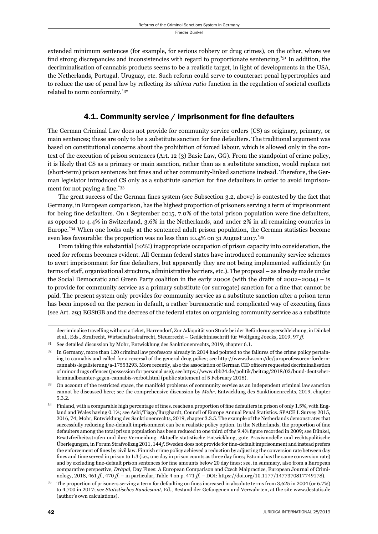extended minimum sentences (for example, for serious robbery or drug crimes), on the other, where we find strong discrepancies and inconsistencies with regard to proportionate sentencing.<sup>\*31</sup> In addition, the decriminalisation of cannabis products seems to be a realistic target, in light of developments in the USA, the Netherlands, Portugal, Uruguay, etc. Such reform could serve to counteract penal hypertrophies and to reduce the use of penal law by reflecting its *ultima ratio* function in the regulation of societal conflicts related to norm conformity.\*32

## 4.1. Community service / imprisonment for fine defaulters

The German Criminal Law does not provide for community service orders (CS) as originary, primary, or main sentences; these are only to be a substitute sanction for fine defaulters. The traditional argument was based on constitutional concerns about the prohibition of forced labour, which is allowed only in the context of the execution of prison sentences (Art. 12 (3) Basic Law, GG). From the standpoint of crime policy, it is likely that CS as a primary or main sanction, rather than as a substitute sanction, would replace not (short-term) prison sentences but fines and other community-linked sanctions instead. Therefore, the German legislator introduced CS only as a substitute sanction for fine defaulters in order to avoid imprisonment for not paying a fine.\*33

The great success of the German fines system (see Subsection 3.2, above) is contested by the fact that Germany, in European comparison, has the highest proportion of prisoners serving a term of imprisonment for being fine defaulters. On 1 September 2015,  $7.0\%$  of the total prison population were fine defaulters, as opposed to 4.4% in Switzerland, 3.6% in the Netherlands, and under 2% in all remaining countries in Europe.\*34 When one looks only at the sentenced adult prison population, the German statistics become even less favourable: the proportion was no less than 10.4% on 31 August 2017.\*35

From taking this substantial (10%!) inappropriate occupation of prison capacity into consideration, the need for reforms becomes evident. All German federal states have introduced community service schemes to avert imprisonment for fine defaulters, but apparently they are not being implemented sufficiently (in terms of staff, organisational structure, administrative barriers, etc.). The proposal – as already made under the Social Democratic and Green Party coalition in the early 2000s (with the drafts of 2002–2004) – is to provide for community service as a primary substitute (or surrogate) sanction for a fine that cannot be paid. The present system only provides for community service as a substitute sanction after a prison term has been imposed on the person in default, a rather bureaucratic and complicated way of executing fines (see Art. 293 EGStGB and the decrees of the federal states on organising community service as a substitute

decriminalise travelling without a ticket, Harrendorf, Zur Adäquität von Strafe bei der Beförderungserschleichung, in Dünkel et al., Eds., Strafrecht, Wirtschaftsstrafrecht, Steuerrecht - Gedächtnisschrift für Wolfgang Joecks, 2019, 97 ff.

- $31$  See detailed discussion by Mohr, Entwicklung des Sanktionenrechts, 2019, chapter 6.1.
- In Germany, more than 120 criminal law professors already in 2014 had pointed to the failures of the crime policy pertaining to cannabis and called for a reversal of the general drug policy; see http://www.dw.com/de/juraprofessoren-forderncannabis-legalisierung/a-17553293. More recently, also the association of German CID officers requested decriminalisation of minor drugs offences (possession for personal use); see https://www.rbb24.de/politik/beitrag/2018/02/bund-deutscherkriminalbeamter-gegen-cannabis-verbot.html (public statement of 5 February 2018).
- ɴɴ On account of the restricted space, the manifold problems of community service as an independent criminal law sanction cannot be discussed here; see the comprehensive discussion by *Mohr*, Entwicklung des Sanktionenrechts, 2019, chapter 5.3.2.
- $34$  Finland, with a comparable high percentage of fines, reaches a proportion of fine defaulters in prison of only 1.5%, with England and Wales having 0.1%; see Aebi/Tiago/Burghardt, Council of Europe Annual Penal Statistics. SPACE I. Survey 2015, 2016, 74; Mohr, Entwicklung des Sanktionenrechts, 2019, chapter 3.3.5. The example of the Netherlands demonstrates that successfully reducing fine-default imprisonment can be a realistic policy option. In the Netherlands, the proportion of fine defaulters among the total prison population has been reduced to one third of the 9.4% figure recorded in 2009; see Dünkel, Ersatzfreiheitsstrafen und ihre Vermeidung. Aktuelle statistische Entwicklung, gute Praxismodelle und rechtspolitische Uberlegungen, in Forum Strafvollzug 2011, 144 f. Sweden does not provide for fine-default imprisonment and instead prefers the enforcement of fines by civil law. Finnish crime policy achieved a reduction by adjusting the conversion rate between day fines and time served in prison to 1:3 (i.e., one day in prison counts as three day fines; Estonia has the same conversion rate) and by excluding fine-default prison sentences for fine amounts below 20 day fines; see, in summary, also from a European comparative perspective, *Drápal*, Day Fines: A European Comparison and Czech Malpractice, European Journal of Criminology, 2018, 461 ff., 470 ff. – in particular, Table 4 on p. 471 ff. – DOI: https://doi.org/10.1177/1477370817749178).

The proportion of prisoners serving a term for defaulting on fines increased in absolute terms from 3,625 in 2004 (or 6.7%) to 4,700 in 2017; see *Statistisches Bundesamt*, Ed., Bestand der Gefangenen und Verwahrten, at the site www.destatis.de (author's own calculations).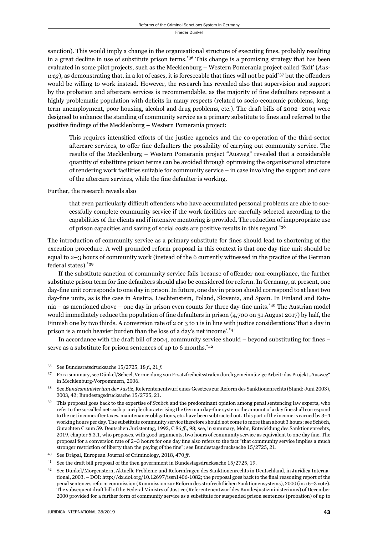sanction). This would imply a change in the organisational structure of executing fines, probably resulting in a great decline in use of substitute prison terms.<sup>\*36</sup> This change is a promising strategy that has been evaluated in some pilot projects, such as the Mecklenburg – Western Pomerania project called 'Exit' (*Ausweg*), as demonstrating that, in a lot of cases, it is foreseeable that fines will not be paid<sup>\*37</sup> but the offenders would be willing to work instead. However, the research has revealed also that supervision and support by the probation and aftercare services is recommendable, as the majority of fine defaulters represent a highly problematic population with deficits in many respects (related to socio-economic problems, longterm unemployment, poor housing, alcohol and drug problems, etc.). The draft bills of 2002–2004 were designed to enhance the standing of community service as a primary substitute to fines and referred to the positive findings of the Mecklenburg - Western Pomerania project:

This requires intensified efforts of the justice agencies and the co-operation of the third-sector aftercare services, to offer fine defaulters the possibility of carrying out community service. The results of the Mecklenburg – Western Pomerania project "Ausweg" revealed that a considerable quantity of substitute prison terms can be avoided through optimising the organisational structure of rendering work facilities suitable for community service – in case involving the support and care of the aftercare services, while the fine defaulter is working.

Further, the research reveals also

that even particularly difficult offenders who have accumulated personal problems are able to successfully complete community service if the work facilities are carefully selected according to the capabilities of the clients and if intensive mentoring is provided. The reduction of inappropriate use of prison capacities and saving of social costs are positive results in this regard.\*38

The introduction of community service as a primary substitute for fines should lead to shortening of the execution procedure. A well-grounded reform proposal in this context is that one day-fine unit should be equal to 2–3 hours of community work (instead of the 6 currently witnessed in the practice of the German federal states).\*39

If the substitute sanction of community service fails because of offender non-compliance, the further substitute prison term for fine defaulters should also be considered for reform. In Germany, at present, one day-fine unit corresponds to one day in prison. In future, one day in prison should correspond to at least two day-fine units, as is the case in Austria, Liechtenstein, Poland, Slovenia, and Spain. In Finland and Estonia – as mentioned above – one day in prison even counts for three day-fine units. $*_{40}$  The Austrian model would immediately reduce the population of fine defaulters in prison (4,700 on 31 August 2017) by half, the Finnish one by two thirds. A conversion rate of 2 or 3 to 1 is in line with justice considerations 'that a day in prison is a much heavier burden than the loss of a day's net income'.\*41

In accordance with the draft bill of 2004, community service should  $-$  beyond substituting for fines  $$ serve as a substitute for prison sentences of up to 6 months.<sup>\*42</sup>

<sup>&</sup>lt;sup>36</sup> See Bundesratsdrucksache 15/2725, 18 *f*., 21 *f*.

<sup>&</sup>lt;sup>37</sup> For a summary, see Dünkel/Scheel, Vermeidung von Ersatzfreiheitsstrafen durch gemeinnützige Arbeit: das Projekt "Ausweg" in Mecklenburg-Vorpommern, 2006.

See Bundesministerium der Justiz, Referentenentwurf eines Gesetzes zur Reform des Sanktionenrechts (Stand: Juni 2003), 2003, 42; Bundestagsdrucksache 15/2725, 21.

ɴɺ This proposal goes back to the expertise of *Schöch* and the predominant opinion among penal sentencing law experts, who refer to the so-called net-cash principle characterising the German day-fine system: the amount of a day fine shall correspond to the net income after taxes, maintenance obligations, etc. have been subtracted out. This part of the income is earned by 3-4 working hours per day. The substitute community service therefore should not come to more than about 3 hours; see Schöch, Gutachten C zum 59. Deutschen Juristentag, 1992, C 86 ff., 98; see, in summary, Mohr, Entwicklung des Sanktionenrechts, 2019, chapter 5.3.1, who proposes, with good arguments, two hours of community service as equivalent to one day fine. The proposal for a conversion rate of 2–3 hours for one day fine also refers to the fact "that community service implies a much stronger restriction of liberty than the paying of the fine"; see Bundestagsdrucksache 15/2725, 21.

<sup>&</sup>lt;sup>40</sup> See Drápal, European Journal of Criminology, 2018, 470 ff.

See the draft bill proposal of the then government in Bundestagsdrucksache  $15/2725$ , 19.

See Dünkel/Morgenstern, Aktuelle Probleme und Reformfragen des Sanktionenrechts in Deutschland, in Juridica International,  $2003. -$  DOI: http://dx.doi.org/10.12697/issn1406-1082; the proposal goes back to the final reasoning report of the penal sentences reform commission (Kommission zur Reform des strafrechtlichen Sanktionensystems), 2000 (in a 6-3 vote). The subsequent draft bill of the Federal Ministry of Justice (Referentenentwurf des Bundesjustizministeriums) of December ɳɱɱɱ provided for a further form of community service as a substitute for suspended prison sentences (probation) of up to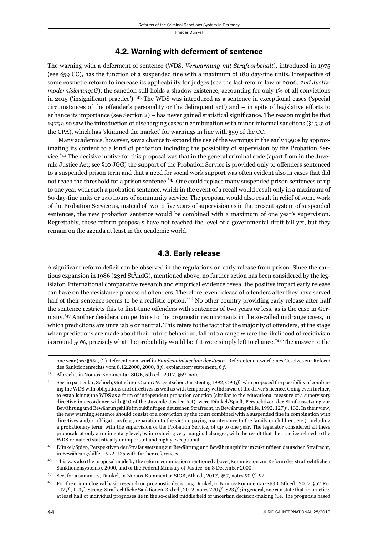#### 4.2. Warning with deferment of sentence

The warning with a deferment of sentence (WDS, *Verwarnung mit Strafvorbehalt*), introduced in 1975 (see  $\S$ 59 CC), has the function of a suspended fine with a maximum of 180 day-fine units. Irrespective of some cosmetic reform to increase its applicability for judges (see the last reform law of 2006, *2nd JustizmodernisierungsG*), the sanction still holds a shadow existence, accounting for only 1% of all convictions in 2015 ('insignificant practice'). $*43$  The WDS was introduced as a sentence in exceptional cases ('special circumstances of the offender's personality or the delinquent act') and  $-$  in spite of legislative efforts to enhance its importance (see Section  $2$ ) – has never gained statistical significance. The reason might be that 1975 also saw the introduction of discharging cases in combination with minor informal sanctions (§153a of the CPA), which has 'skimmed the market' for warnings in line with §59 of the CC.

Many academics, however, saw a chance to expand the use of the warnings in the early 1990s by approximating its content to a kind of probation including the possibility of supervision by the Probation Service.\*44 The decisive motive for this proposal was that in the general criminal code (apart from in the Juvenile Justice Act; see §10 JGG) the support of the Probation Service is provided only to offenders sentenced to a suspended prison term and that a need for social work support was often evident also in cases that did not reach the threshold for a prison sentence.<sup>\*45</sup> One could replace many suspended prison sentences of up to one year with such a probation sentence, which in the event of a recall would result only in a maximum of 60 day-fi ne units or 240 hours of community service. The proposal would also result in relief of some work of the Probation Service as, instead of two to five years of supervision as in the present system of suspended sentences, the new probation sentence would be combined with a maximum of one year's supervision. Regrettably, these reform proposals have not reached the level of a governmental draft bill yet, but they remain on the agenda at least in the academic world.

### 4.3. Early release

A significant reform deficit can be observed in the regulations on early release from prison. Since the cautious expansion in 1986 (23rd StÄndG), mentioned above, no further action has been considered by the legislator. International comparative research and empirical evidence reveal the positive impact early release can have on the desistance process of offenders. Therefore, even release of offenders after they have served half of their sentence seems to be a realistic option.<sup>\*46</sup> No other country providing early release after half the sentence restricts this to first-time offenders with sentences of two years or less, as is the case in Germany.\*47 Another desideratum pertains to the prognostic requirements in the so-called midrange cases, in which predictions are unreliable or neutral. This refers to the fact that the majority of offenders, at the stage when predictions are made about their future behaviour, fall into a range where the likelihood of recidivism is around 50%, precisely what the probability would be if it were simply left to chance.<sup>\*48</sup> The answer to the

one year (see §ɶɶa, (ɳ) Referentenentwurf in *Bundesministerium der Justiz*, Referentenentwurf eines Gesetzes zur Reform des Sanktionenrechts vom 8.12.2000, 2000, 8 $f$ ., explanatory statement, 6 $f$ .

<sup>&</sup>lt;sup>43</sup> Albrecht, in Nomos-Kommentar-StGB, 5th ed., 2017, §59, note 1.

See, in particular, Schöch, Gutachten C zum 59. Deutschen Juristentag 1992, C 90 ff., who proposed the possibility of combining the WDS with obligations and directives as well as with temporary withdrawal of the driver's licence. Going even further, to establishing the WDS as a form of independent probation sanction (similar to the educational measure of a supervisory directive in accordance with §10 of the Juvenile Justice Act), were Dünkel/Spieß, Perspektiven der Strafaussetzung zur Bewährung und Bewährungshilfe im zukünftigen deutschen Strafrecht, in Bewährungshilfe, 1992, 127 f., 132. In their view, the new warning sentence should consist of a conviction by the court combined with a suspended fine in combination with directives and/or obligations (e.g., reparation to the victim, paying maintenance to the family or children, etc.), including a probationary term, with the supervision of the Probation Service, of up to one year. The legislator considered all these proposals at only a rudimentary level, by introducing very marginal changes, with the result that the practice related to the WDS remained statistically unimportant and highly exceptional.

ɵɶ Dünkel/Spieß, Perspektiven der Strafaussetzung zur Bewährung und Bewährungshilfe im zukünftigen deutschen Strafrecht, in Bewährungshilfe, 1992, 125 with further references.

This was also the proposal made by the reform commission mentioned above (Kommission zur Reform des strafrechtlichen Sanktionensystems), 2000, and of the Federal Ministry of Justice, on 8 December 2000.

<sup>&</sup>lt;sup>47</sup> See, for a summary, Dünkel, in Nomos-Kommentar-StGB, 5th ed., 2017, §57, notes 90 ff., 92.

For the criminological basic research on prognostic decisions, Dünkel, in Nomos-Kommentar-StGB, 5th ed., 2017, §57 Rn. 107 ff., 113 f.; Streng, Strafrechtliche Sanktionen, 3rd ed., 2012, notes 770 ff., 823 ff.; in general, one can state that, in practice, at least half of individual prognoses lie in the so-called middle field of uncertain decision-making (i.e., the prognosis based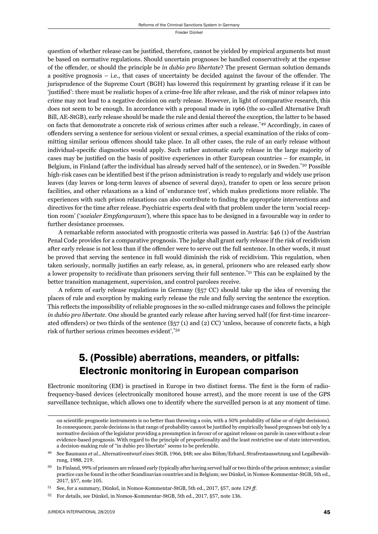question of whether release can be justified, therefore, cannot be yielded by empirical arguments but must be based on normative regulations. Should uncertain prognoses be handled conservatively at the expense of the off ender, or should the principle be *in dubio pro libertate*? The present German solution demands a positive prognosis  $-$  i.e., that cases of uncertainty be decided against the favour of the offender. The jurisprudence of the Supreme Court (BGH) has lowered this requirement by granting release if it can be 'justified': there must be realistic hopes of a crime-free life after release, and the risk of minor relapses into crime may not lead to a negative decision on early release. However, in light of comparative research, this does not seem to be enough. In accordance with a proposal made in 1966 (the so-called Alternative Draft Bill, AE-StGB), early release should be made the rule and denial thereof the exception, the latter to be based on facts that demonstrate a concrete risk of serious crimes after such a release.\*49 Accordingly, in cases of offenders serving a sentence for serious violent or sexual crimes, a special examination of the risks of committing similar serious offences should take place. In all other cases, the rule of an early release without individual-specific diagnostics would apply. Such rather automatic early release in the large majority of cases may be justified on the basis of positive experiences in other European countries – for example, in Belgium, in Finland (after the individual has already served half of the sentence), or in Sweden.\*50 Possible high-risk cases can be identified best if the prison administration is ready to regularly and widely use prison leaves (day leaves or long-term leaves of absence of several days), transfer to open or less secure prison facilities, and other relaxations as a kind of 'endurance test', which makes predictions more reliable. The experiences with such prison relaxations can also contribute to finding the appropriate interventions and directives for the time after release. Psychiatric experts deal with that problem under the term 'social reception room' ('*sozialer Empfangsraum'*), where this space has to be designed in a favourable way in order to further desistance processes.

A remarkable reform associated with prognostic criteria was passed in Austria: §46 (1) of the Austrian Penal Code provides for a comparative prognosis. The judge shall grant early release if the risk of recidivism after early release is not less than if the offender were to serve out the full sentence. In other words, it must be proved that serving the sentence in full would diminish the risk of recidivism. This regulation, when taken seriously, normally justifies an early release, as, in general, prisoners who are released early show a lower propensity to recidivate than prisoners serving their full sentence.\*51 This can be explained by the better transition management, supervision, and control parolees receive.

A reform of early release regulations in Germany (§57 CC) should take up the idea of reversing the places of rule and exception by making early release the rule and fully serving the sentence the exception. This reflects the impossibility of reliable prognoses in the so-called midrange cases and follows the principle *in dubio pro libertate*. One should be granted early release after having served half (for first-time incarcerated offenders) or two thirds of the sentence  $(\S_{57}(1)$  and  $(2)$  CC) 'unless, because of concrete facts, a high risk of further serious crimes becomes evident'.\*52

# 5. (Possible) aberrations, meanders, or pitfalls: Electronic monitoring in European comparison

Electronic monitoring (EM) is practised in Europe in two distinct forms. The first is the form of radiofrequency-based devices (electronically monitored house arrest), and the more recent is use of the GPS surveillance technique, which allows one to identify where the surveilled person is at any moment of time.

on scientific prognostic instruments is no better than throwing a coin, with a 50% probability of false or of right decisions). In consequence, parole decisions in that range of probability cannot be justified by empirically based prognoses but only by a normative decision of the legislator providing a presumption in favour of or against release on parole in cases without a clear evidence-based prognosis. With regard to the principle of proportionality and the least restrictive use of state intervention, a decision-making rule of "in dubio pro libertate" seems to be preferable.

See Baumann et al., Alternativentwurf eines StGB, 1966, §48; see also Böhm/Erhard, Strafrestaussetzung und Legalbewährung, 1988, 219.

<sup>&</sup>lt;sup>50</sup> In Finland, 99% of prisoners are released early (typically after having served half or two thirds of the prison sentence; a similar practice can be found in the other Scandinavian countries and in Belgium; see Dünkel, in Nomos-Kommentar-StGB, 5th ed., 2017, §57, note 105.

See, for a summary, Dünkel, in Nomos-Kommentar-StGB, 5th ed., 2017, §57, note 129 ff.

<sup>52</sup> For details, see Dünkel, in Nomos-Kommentar-StGB, 5th ed., 2017, §57, note 136.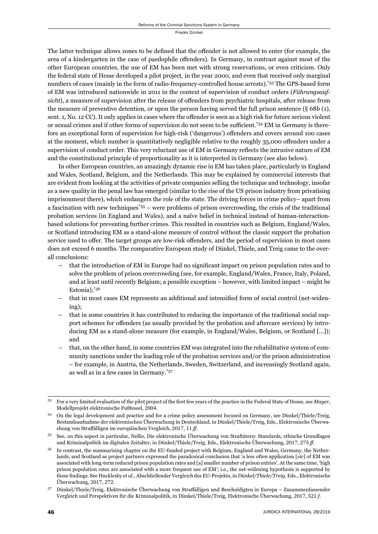The latter technique allows zones to be defined that the offender is not allowed to enter (for example, the area of a kindergarten in the case of paedophile offenders). In Germany, in contrast against most of the other European countries, the use of EM has been met with strong reservations, or even criticism. Only the federal state of Hesse developed a pilot project, in the year 2000, and even that received only marginal numbers of cases (mainly in the form of radio-frequency-controlled house arrests).\*53 The GPS-based form of EM was introduced nationwide in 2011 in the context of supervision of conduct orders (*Führungsauf*sicht), a measure of supervision after the release of offenders from psychiatric hospitals, after release from the measure of preventive detention, or upon the person having served the full prison sentence  $(\S 68b (1),$ sent. 1, No. 12 CC). It only applies in cases where the offender is seen as a high risk for future serious violent or sexual crimes and if other forms of supervision do not seem to be sufficient.\*54 EM in Germany is therefore an exceptional form of supervision for high-risk ('dangerous') offenders and covers around 100 cases at the moment, which number is quantitatively negligible relative to the roughly 35,000 offenders under a supervision of conduct order. This very reluctant use of EM in Germany reflects the intrusive nature of EM and the constitutional principle of proportionality as it is interpreted in Germany (see also below).

In other European countries, an amazingly dynamic rise in EM has taken place, particularly in England and Wales, Scotland, Belgium, and the Netherlands. This may be explained by commercial interests that are evident from looking at the activities of private companies selling the technique and technology, insofar as a new quality in the penal law has emerged (similar to the rise of the US prison industry from privatising imprisonment there), which endangers the role of the state. The driving forces in crime policy– apart from a fascination with new techniques\*55 – were problems of prison overcrowding, the crisis of the traditional probation services (in England and Wales), and a naïve belief in technical instead of human-interactionbased solutions for preventing further crimes. This resulted in countries such as Belgium, England/Wales, or Scotland introducing EM as a stand-alone measure of control without the classic support the probation service used to offer. The target groups are low-risk offenders, and the period of supervision in most cases does not exceed 6 months. The comparative European study of Dünkel, Thiele, and Treig came to the overall conclusions:

- $-$  that the introduction of EM in Europe had no significant impact on prison population rates and to solve the problem of prison overcrowding (see, for example, England/Wales, France, Italy, Poland, and at least until recently Belgium; a possible exception – however, with limited impact – might be Estonia);\*56
- that in most cases EM represents an additional and intensified form of social control (net-widening);
- that in some countries it has contributed to reducing the importance of the traditional social support schemes for offenders (as usually provided by the probation and aftercare services) by introducing EM as a stand-alone measure (for example, in England/Wales, Belgium, or Scotland […]); and
- that, on the other hand, in some countries EM was integrated into the rehabilitative system of community sanctions under the leading role of the probation services and/or the prison administration – for example, in Austria, the Netherlands, Sweden, Switzerland, and increasingly Scotland again, as well as in a few cases in Germany.\*57

For a very limited evaluation of the pilot project of the first few years of the practice in the Federal State of Hesse, see *Mayer*, Modellprojekt elektronische Fußfessel, 2004.

ɶɵ On the legal development and practice and for a crime policy assessment focused on Germany, see Dünkel/Thiele/Treig, Bestandsaufnahme der elektronischen Überwachung in Deutschland, in Dünkel/Thiele/Treig, Eds., Elektronische Überwachung von Straffälligen im europäischen Vergleich, 2017, 11 ff.

ɶɶ See, on this aspect in particular, Nellis, Die elektronische Überwachung von Straftätern: Standards, ethische Grundlagen und Kriminalpolitik im digitalen Zeitalter, in Dünkel/Thiele/Treig, Eds., Elektronische Überwachung, 2017, 275 ff.

<sup>&</sup>lt;sup>56</sup> In contrast, the summarising chapter on the EU-funded project with Belgium, England and Wales, Germany, the Netherlands, and Scotland as project partners expressed the paradoxical conclusion that 'a less often application [*sic*] of EM was associated with long-term reduced prison population rates and [a] smaller number of prison entries'. At the same time, 'high prison population rates are associated with a more frequent use of EM'; i.e., the net-widening hypothesis is supported by these fi ndings. See Hucklesby *et al.*, Abschließender Vergleich des EU-Projekts, in *Dünkel/Thiele/Treig*, Eds., Elektronische Überwachung, 2017, 272.

<sup>&</sup>lt;sup>57</sup> Dünkel/Thiele/Treig, Elektronische Überwachung von Straffälligen und Beschuldigten in Europa – Zusammenfassender Vergleich und Perspektiven für die Kriminalpolitik, in Dünkel/Thiele/Treig, Elektronische Überwachung, 2017, 521 f.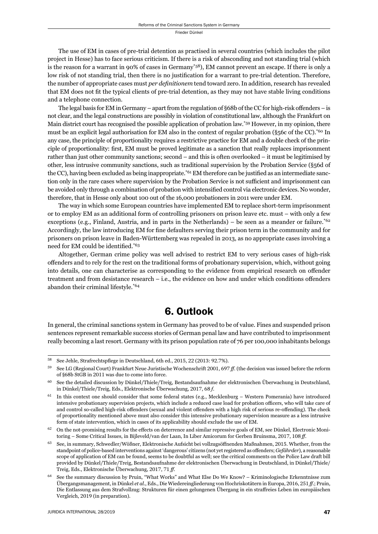The use of EM in cases of pre-trial detention as practised in several countries (which includes the pilot project in Hesse) has to face serious criticism. If there is a risk of absconding and not standing trial (which is the reason for a warrant in 90% of cases in Germany\*58), EM cannot prevent an escape. If there is only a low risk of not standing trial, then there is no justification for a warrant to pre-trial detention. Therefore, the number of appropriate cases must *per defi nitionem* tend toward zero. In addition, research has revealed that EM does not fi t the typical clients of pre-trial detention, as they may not have stable living conditions and a telephone connection.

The legal basis for EM in Germany – apart from the regulation of  $\S 68$  of the CC for high-risk offenders – is not clear, and the legal constructions are possibly in violation of constitutional law, although the Frankfurt on Main district court has recognised the possible application of probation law.\*59 However, in my opinion, there must be an explicit legal authorisation for EM also in the context of regular probation (§56c of the CC).<sup>\*60</sup> In any case, the principle of proportionality requires a restrictive practice for EM and a double check of the principle of proportionality: first, EM must be proved legitimate as a sanction that really replaces imprisonment rather than just other community sanctions; second – and this is often overlooked – it must be legitimised by other, less intrusive community sanctions, such as traditional supervision by the Probation Service (§56d of the CC), having been excluded as being inappropriate.<sup>\*61</sup> EM therefore can be justified as an intermediate sanction only in the rare cases where supervision by the Probation Service is not sufficient and imprisonment can be avoided only through a combination of probation with intensified control via electronic devices. No wonder, therefore, that in Hesse only about 100 out of the 16,000 probationers in 2011 were under EM.

The way in which some European countries have implemented EM to replace short-term imprisonment or to employ EM as an additional form of controlling prisoners on prison leave etc. must – with only a few exceptions (e.g., Finland, Austria, and in parts in the Netherlands) – be seen as a meander or failure.<sup>\*62</sup> Accordingly, the law introducing EM for fine defaulters serving their prison term in the community and for prisoners on prison leave in Baden-Württemberg was repealed in 2013, as no appropriate cases involving a need for EM could be identified.<sup>\*63</sup>

Altogether, German crime policy was well advised to restrict EM to very serious cases of high-risk offenders and to rely for the rest on the traditional forms of probationary supervision, which, without going into details, one can characterise as corresponding to the evidence from empirical research on offender treatment and from desistance research  $-$  i.e., the evidence on how and under which conditions offenders abandon their criminal lifestyle.\*64

# 6. Outlook

In general, the criminal sanctions system in Germany has proved to be of value. Fines and suspended prison sentences represent remarkable success stories of German penal law and have contributed to imprisonment really becoming a last resort. Germany with its prison population rate of 76 per 100,000 inhabitants belongs

<sup>58</sup> See Jehle, Strafrechtspflege in Deutschland, 6th ed., 2015, 22 (2013: 92.7%).

<sup>59</sup> See LG (Regional Court) Frankfurt Neue Juristische Wochenschrift 2001, 697 ff. (the decision was issued before the reform of §68b StGB in 2011 was due to come into force.

ɷɱ See the detailed discussion by Dünkel/Thiele/Treig, Bestandsaufnahme der elektronischen Überwachung in Deutschland, in Dünkel/Thiele/Treig, Eds., Elektronische Überwachung, 2017, 68 *f*.

 $61$  In this context one should consider that some federal states (e.g., Mecklenburg – Western Pomerania) have introduced intensive probationary supervision projects, which include a reduced case load for probation officers, who will take care of and control so-called high-risk offenders (sexual and violent offenders with a high risk of serious re-offending). The check of proportionality mentioned above must also consider this intensive probationary supervision measure as a less intrusive form of state intervention, which in cases of its applicability should exclude the use of EM.

On the not-promising results for the effects on deterrence and similar repressive goals of EM, see Dünkel, Electronic Monitoring – Some Critical Issues, in Bijleveld/van der Laan, In Liber Amicorum for Gerben Bruinsma, 2017, 108 ff.

See, in summary, Schwedler/Wößner, Elektronische Aufsicht bei vollzugsöffnenden Maßnahmen, 2015. Whether, from the standpoint of police-based interventions against 'dangerous' citizens (not yet registered as offenders; *Gefährder*), a reasonable scope of application of EM can be found, seems to be doubtful as well; see the critical comments on the Police Law draft bill provided by Dünkel/Thiele/Treig, Bestandsaufnahme der elektronischen Überwachung in Deutschland, in Dünkel/Thiele/ Treig, Eds., Elektronische Überwachung, 2017, 71 ff.

See the summary discussion by Pruin, "What Works" and What Else Do We Know? – Kriminologische Erkenntnisse zum Übergangsmanagement, in Dünkel et al., Eds., Die Wiedereingliederung von Hochriskotätern in Europa, 2016, 251 ff.; Pruin, Die Entlassung aus dem Strafvollzug: Strukturen für einen gelungenen Übergang in ein straffreies Leben im europäischen Vergleich, 2019 (in preparation).